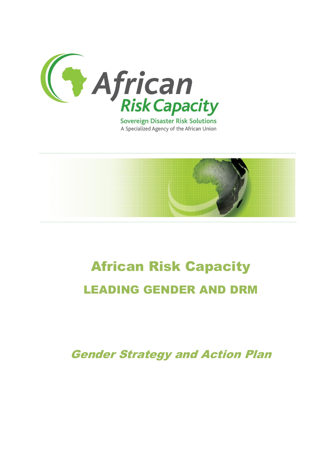

A Specialized Agency of the African Union



# **African Risk Capacity** LEADING GENDER AND DRM

Gender Strategy and Action Plan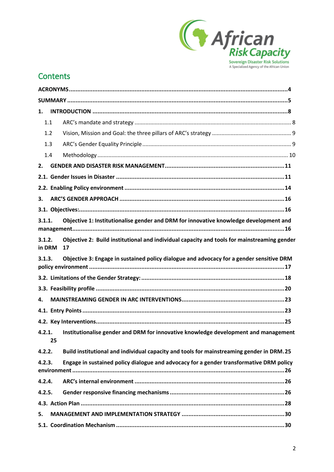

## **Contents**

| 1.     |        |                                                                                                   |  |  |
|--------|--------|---------------------------------------------------------------------------------------------------|--|--|
|        | 1.1    |                                                                                                   |  |  |
|        | 1.2    |                                                                                                   |  |  |
|        | 1.3    |                                                                                                   |  |  |
|        | 1.4    |                                                                                                   |  |  |
| 2.     |        |                                                                                                   |  |  |
|        |        |                                                                                                   |  |  |
|        |        |                                                                                                   |  |  |
| 3.     |        |                                                                                                   |  |  |
|        |        |                                                                                                   |  |  |
| 3.1.1. |        | Objective 1: Institutionalise gender and DRM for innovative knowledge development and             |  |  |
| 3.1.2. | in DRM | Objective 2: Build institutional and individual capacity and tools for mainstreaming gender<br>17 |  |  |
| 3.1.3. |        | Objective 3: Engage in sustained policy dialogue and advocacy for a gender sensitive DRM          |  |  |
|        |        |                                                                                                   |  |  |
|        |        |                                                                                                   |  |  |
| 4.     |        |                                                                                                   |  |  |
|        |        |                                                                                                   |  |  |
|        |        |                                                                                                   |  |  |
| 4.2.1. | 25     | Institutionalise gender and DRM for innovative knowledge development and management               |  |  |
| 4.2.2. |        | Build institutional and individual capacity and tools for mainstreaming gender in DRM.25          |  |  |
| 4.2.3. |        | Engage in sustained policy dialogue and advocacy for a gender transformative DRM policy           |  |  |
| 4.2.4. |        |                                                                                                   |  |  |
| 4.2.5. |        |                                                                                                   |  |  |
|        |        |                                                                                                   |  |  |
| 5.     |        |                                                                                                   |  |  |
|        |        |                                                                                                   |  |  |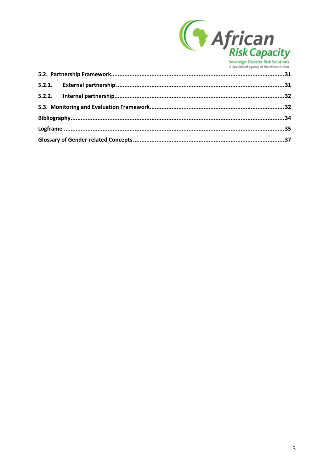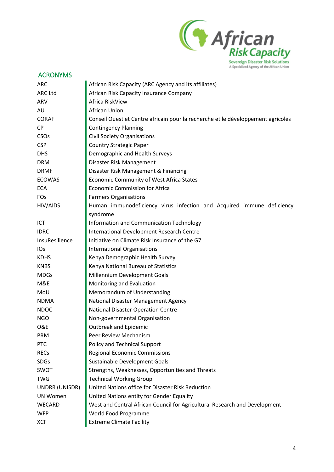

<span id="page-3-0"></span>

| <b>ACRONYMS</b>        |                                                                                  |  |  |  |
|------------------------|----------------------------------------------------------------------------------|--|--|--|
| <b>ARC</b>             | African Risk Capacity (ARC Agency and its affiliates)                            |  |  |  |
| <b>ARC Ltd</b>         | African Risk Capacity Insurance Company                                          |  |  |  |
| ARV                    | Africa RiskView                                                                  |  |  |  |
| AU                     | <b>African Union</b>                                                             |  |  |  |
| <b>CORAF</b>           | Conseil Ouest et Centre africain pour la recherche et le développement agricoles |  |  |  |
| <b>CP</b>              | <b>Contingency Planning</b>                                                      |  |  |  |
| <b>CSO<sub>s</sub></b> | <b>Civil Society Organisations</b>                                               |  |  |  |
| <b>CSP</b>             | <b>Country Strategic Paper</b>                                                   |  |  |  |
| <b>DHS</b>             | Demographic and Health Surveys                                                   |  |  |  |
| <b>DRM</b>             | Disaster Risk Management                                                         |  |  |  |
| <b>DRMF</b>            | Disaster Risk Management & Financing                                             |  |  |  |
| <b>ECOWAS</b>          | Economic Community of West Africa States                                         |  |  |  |
| <b>ECA</b>             | <b>Economic Commission for Africa</b>                                            |  |  |  |
| FOs                    | <b>Farmers Organisations</b>                                                     |  |  |  |
| HIV/AIDS               | Human immunodeficiency virus infection and Acquired immune deficiency            |  |  |  |
|                        | syndrome                                                                         |  |  |  |
| ICT                    | Information and Communication Technology                                         |  |  |  |
| <b>IDRC</b>            | International Development Research Centre                                        |  |  |  |
| InsuResilience         | Initiative on Climate Risk Insurance of the G7                                   |  |  |  |
| <b>IOs</b>             | <b>International Organisations</b>                                               |  |  |  |
| <b>KDHS</b>            | Kenya Demographic Health Survey                                                  |  |  |  |
| <b>KNBS</b>            | Kenya National Bureau of Statistics                                              |  |  |  |
| <b>MDGs</b>            | Millennium Development Goals                                                     |  |  |  |
| M&E                    | Monitoring and Evaluation                                                        |  |  |  |
| MoU                    | Memorandum of Understanding                                                      |  |  |  |
| <b>NDMA</b>            | National Disaster Management Agency                                              |  |  |  |
| <b>NDOC</b>            | National Disaster Operation Centre                                               |  |  |  |
| <b>NGO</b>             | Non-governmental Organisation                                                    |  |  |  |
| <b>O&amp;E</b>         | <b>Outbreak and Epidemic</b>                                                     |  |  |  |
| PRM                    | Peer Review Mechanism                                                            |  |  |  |
| <b>PTC</b>             | Policy and Technical Support                                                     |  |  |  |
| <b>RECs</b>            | <b>Regional Economic Commissions</b>                                             |  |  |  |
| <b>SDGs</b>            | Sustainable Development Goals                                                    |  |  |  |
| SWOT                   | Strengths, Weaknesses, Opportunities and Threats                                 |  |  |  |
| <b>TWG</b>             | <b>Technical Working Group</b>                                                   |  |  |  |
| UNDRR (UNISDR)         | United Nations office for Disaster Risk Reduction                                |  |  |  |
| <b>UN Women</b>        | United Nations entity for Gender Equality                                        |  |  |  |
| <b>WECARD</b>          | West and Central African Council for Agricultural Research and Development       |  |  |  |
| <b>WFP</b>             | World Food Programme                                                             |  |  |  |
| <b>XCF</b>             | <b>Extreme Climate Facility</b>                                                  |  |  |  |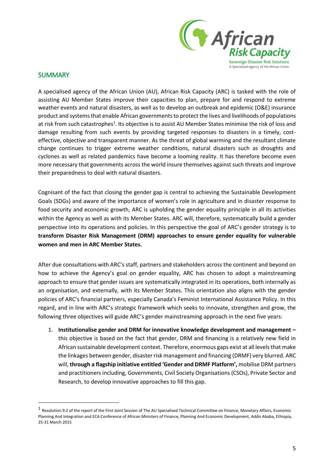

### <span id="page-4-0"></span>**SUMMARY**

 $\overline{\phantom{a}}$ 

A specialised agency of the African Union (AU), African Risk Capacity (ARC) is tasked with the role of assisting AU Member States improve their capacities to plan, prepare for and respond to extreme weather events and natural disasters, as well as to develop an outbreak and epidemic (O&E) insurance product and systems that enable African governments to protect the lives and livelihoods of populations at risk from such catastrophes<sup>1</sup>. Its objective is to assist AU Member States minimise the risk of loss and damage resulting from such events by providing targeted responses to disasters in a timely, costeffective, objective and transparent manner. As the threat of global warming and the resultant climate change continues to trigger extreme weather conditions, natural disasters such as droughts and cyclones as well as related pandemics have become a looming reality. It has therefore become even more necessary that governments across the world insure themselves against such threats and improve their preparedness to deal with natural disasters.

Cognisant of the fact that closing the gender gap is central to achieving the Sustainable Development Goals (SDGs) and aware of the importance of women's role in agriculture and in disaster response to food security and economic growth, ARC is upholding the gender equality principle in all its activities within the Agency as well as with its Member States. ARC will, therefore, systematically build a gender perspective into its operations and policies. In this perspective the goal of ARC's gender strategy is to **transform Disaster Risk Management (DRM) approaches to ensure gender equality for vulnerable women and men in ARC Member States.**

After due consultations with ARC's staff, partners and stakeholders across the continent and beyond on how to achieve the Agency's goal on gender equality, ARC has chosen to adopt a mainstreaming approach to ensure that gender issues are systematically integrated in its operations, both internally as an organisation, and externally, with its Member States. This orientation also aligns with the gender policies of ARC's financial partners, especially Canada's Feminist International Assistance Policy. In this regard, and in line with ARC's strategic framework which seeks to innovate, strengthen and grow, the following three objectives will guide ARC's gender mainstreaming approach in the next five years:

1. **Institutionalise gender and DRM for innovative knowledge development and management –** this objective is based on the fact that gender, DRM and financing is a relatively new field in African sustainable development context. Therefore, enormous gaps exist at all levels that make the linkages between gender, disaster risk management and financing (DRMF) very blurred. ARC will, **through a flagship initiative entitled 'Gender and DRMF Platform',** mobilise DRM partners and practitioners including, Governments, Civil Society Organisations (CSOs), Private Sector and Research, to develop innovative approaches to fill this gap.

<sup>1</sup> Resolution 9:2 of the report of the First Joint Session of The AU Specialised Technical Committee on Finance, Monetary Affairs, Economic Planning And Integration and ECA Conference of African Ministers of Finance, Planning And Economic Development, Addis Ababa, Ethiopia, 25-31 March 2015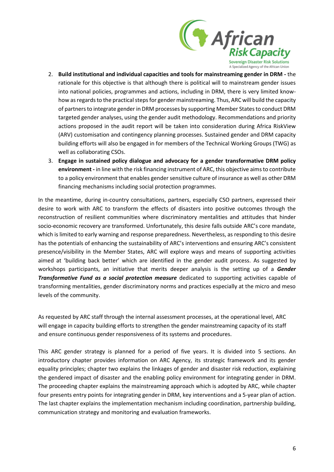

- 2. **Build institutional and individual capacities and tools for mainstreaming gender in DRM -** the rationale for this objective is that although there is political will to mainstream gender issues into national policies, programmes and actions, including in DRM, there is very limited knowhow as regards to the practical steps for gender mainstreaming. Thus, ARC will build the capacity of partners to integrate gender in DRM processes by supporting Member States to conduct DRM targeted gender analyses, using the gender audit methodology. Recommendations and priority actions proposed in the audit report will be taken into consideration during Africa RiskView (ARV) customisation and contingency planning processes. Sustained gender and DRM capacity building efforts will also be engaged in for members of the Technical Working Groups (TWG) as well as collaborating CSOs.
- 3. **Engage in sustained policy dialogue and advocacy for a gender transformative DRM policy environment -** in line with the risk financing instrument of ARC, this objective aims to contribute to a policy environment that enables gender sensitive culture of insurance as well as other DRM financing mechanisms including social protection programmes.

In the meantime, during in-country consultations, partners, especially CSO partners, expressed their desire to work with ARC to transform the effects of disasters into positive outcomes through the reconstruction of resilient communities where discriminatory mentalities and attitudes that hinder socio-economic recovery are transformed. Unfortunately, this desire falls outside ARC's core mandate, which is limited to early warning and response preparedness. Nevertheless, as responding to this desire has the potentials of enhancing the sustainability of ARC's interventions and ensuring ARC's consistent presence/visibility in the Member States, ARC will explore ways and means of supporting activities aimed at 'building back better' which are identified in the gender audit process. As suggested by workshops participants, an initiative that merits deeper analysis is the setting up of a *Gender Transformative Fund as a social protection measure* dedicated to supporting activities capable of transforming mentalities, gender discriminatory norms and practices especially at the micro and meso levels of the community.

As requested by ARC staff through the internal assessment processes, at the operational level, ARC will engage in capacity building efforts to strengthen the gender mainstreaming capacity of its staff and ensure continuous gender responsiveness of its systems and procedures.

This ARC gender strategy is planned for a period of five years. It is divided into 5 sections. An introductory chapter provides information on ARC Agency, its strategic framework and its gender equality principles; chapter two explains the linkages of gender and disaster risk reduction, explaining the gendered impact of disaster and the enabling policy environment for integrating gender in DRM. The proceeding chapter explains the mainstreaming approach which is adopted by ARC, while chapter four presents entry points for integrating gender in DRM, key interventions and a 5-year plan of action. The last chapter explains the implementation mechanism including coordination, partnership building, communication strategy and monitoring and evaluation frameworks.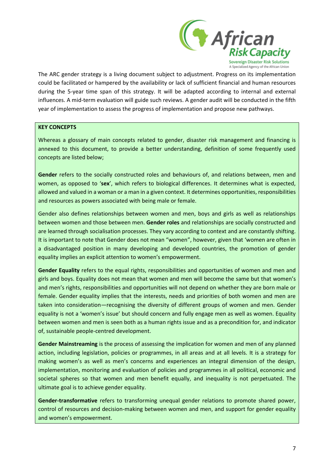

The ARC gender strategy is a living document subject to adjustment. Progress on its implementation could be facilitated or hampered by the availability or lack of sufficient financial and human resources during the 5-year time span of this strategy. It will be adapted according to internal and external influences. A mid-term evaluation will guide such reviews. A gender audit will be conducted in the fifth year of implementation to assess the progress of implementation and propose new pathways.

#### **KEY CONCEPTS**

Whereas a glossary of main concepts related to gender, disaster risk management and financing is annexed to this document, to provide a better understanding, definition of some frequently used concepts are listed below;

**Gender** refers to the socially constructed roles and behaviours of, and relations between, men and women, as opposed to '**sex**', which refers to biological differences. It determines what is expected, allowed and valued in a woman or a man in a given context. It determines opportunities, responsibilities and resources as powers associated with being male or female.

Gender also defines relationships between women and men, boys and girls as well as relationships between women and those between men. **Gender roles** and relationships are socially constructed and are learned through socialisation processes. They vary according to context and are constantly shifting. It is important to note that Gender does not mean "women", however, given that 'women are often in a disadvantaged position in many developing and developed countries, the promotion of gender equality implies an explicit attention to women's empowerment.

**Gender Equality** refers to the equal rights, responsibilities and opportunities of women and men and girls and boys. Equality does not mean that women and men will become the same but that women's and men's rights, responsibilities and opportunities will not depend on whether they are born male or female. Gender equality implies that the interests, needs and priorities of both women and men are taken into consideration—recognising the diversity of different groups of women and men. Gender equality is not a 'women's issue' but should concern and fully engage men as well as women. Equality between women and men is seen both as a human rights issue and as a precondition for, and indicator of, sustainable people-centred development.

**Gender Mainstreaming** is the process of assessing the implication for women and men of any planned action, including legislation, policies or programmes, in all areas and at all levels. It is a strategy for making women's as well as men's concerns and experiences an integral dimension of the design, implementation, monitoring and evaluation of policies and programmes in all political, economic and societal spheres so that women and men benefit equally, and inequality is not perpetuated. The ultimate goal is to achieve gender equality.

**Gender-transformative** refers to transforming unequal gender relations to promote shared power, control of resources and decision-making between women and men, and support for gender equality and women's empowerment.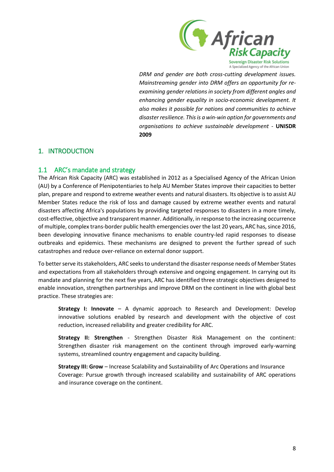

*DRM and gender are both cross-cutting development issues. Mainstreaming gender into DRM offers an opportunity for reexamining gender relations in society from different angles and enhancing gender equality in socio-economic development. It also makes it possible for nations and communities to achieve disaster resilience. This is a win-win option for governments and organisations to achieve sustainable development -* **UNISDR 2009**

### <span id="page-7-0"></span>1. INTRODUCTION

### <span id="page-7-1"></span>1.1 ARC's mandate and strategy

The African Risk Capacity (ARC) was established in 2012 as a Specialised Agency of the African Union (AU) by a Conference of Plenipotentiaries to help AU Member States improve their capacities to better plan, prepare and respond to extreme weather events and natural disasters. Its objective is to assist AU Member States reduce the risk of loss and damage caused by extreme weather events and natural disasters affecting Africa's populations by providing targeted responses to disasters in a more timely, cost-effective, objective and transparent manner. Additionally, in response to the increasing occurrence of multiple, complex trans-border public health emergencies over the last 20 years, ARC has, since 2016, been developing innovative finance mechanisms to enable country-led rapid responses to disease outbreaks and epidemics. These mechanisms are designed to prevent the further spread of such catastrophes and reduce over-reliance on external donor support.

To better serve its stakeholders, ARC seeks to understand the disaster response needs of Member States and expectations from all stakeholders through extensive and ongoing engagement. In carrying out its mandate and planning for the next five years, ARC has identified three strategic objectives designed to enable innovation, strengthen partnerships and improve DRM on the continent in line with global best practice. These strategies are:

**Strategy I: Innovate** – A dynamic approach to Research and Development: Develop innovative solutions enabled by research and development with the objective of cost reduction, increased reliability and greater credibility for ARC.

**Strategy II: Strengthen** - Strengthen Disaster Risk Management on the continent: Strengthen disaster risk management on the continent through improved early-warning systems, streamlined country engagement and capacity building.

**Strategy III: Grow** – Increase Scalability and Sustainability of Arc Operations and Insurance Coverage: Pursue growth through increased scalability and sustainability of ARC operations and insurance coverage on the continent.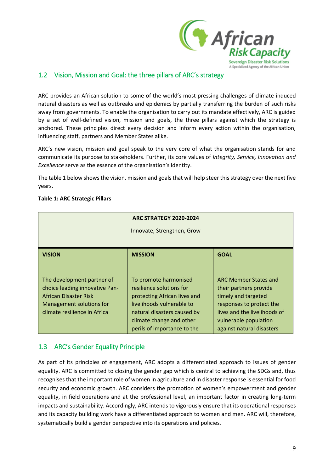

### <span id="page-8-0"></span>1.2 Vision, Mission and Goal: the three pillars of ARC's strategy

ARC provides an African solution to some of the world's most pressing challenges of climate-induced natural disasters as well as outbreaks and epidemics by partially transferring the burden of such risks away from governments. To enable the organisation to carry out its mandate effectively, ARC is guided by a set of well-defined vision, mission and goals, the three pillars against which the strategy is anchored. These principles direct every decision and inform every action within the organisation, influencing staff, partners and Member States alike.

ARC's new vision, mission and goal speak to the very core of what the organisation stands for and communicate its purpose to stakeholders. Further, its core values of *Integrity, Service, Innovation and Excellence* serve as the essence of the organisation's identity.

The table 1 below shows the vision, mission and goals that will help steer this strategy over the next five years.

#### **Table 1: ARC Strategic Pillars**

|                                                                                                                                                   | <b>ARC STRATEGY 2020-2024</b>                                                                                                                                                                            |                                                                                                                                                                                                 |  |  |
|---------------------------------------------------------------------------------------------------------------------------------------------------|----------------------------------------------------------------------------------------------------------------------------------------------------------------------------------------------------------|-------------------------------------------------------------------------------------------------------------------------------------------------------------------------------------------------|--|--|
|                                                                                                                                                   | Innovate, Strengthen, Grow                                                                                                                                                                               |                                                                                                                                                                                                 |  |  |
|                                                                                                                                                   |                                                                                                                                                                                                          |                                                                                                                                                                                                 |  |  |
| <b>VISION</b>                                                                                                                                     | <b>MISSION</b>                                                                                                                                                                                           | <b>GOAL</b>                                                                                                                                                                                     |  |  |
|                                                                                                                                                   |                                                                                                                                                                                                          |                                                                                                                                                                                                 |  |  |
| The development partner of<br>choice leading innovative Pan-<br>African Disaster Risk<br>Management solutions for<br>climate resilience in Africa | To promote harmonised<br>resilience solutions for<br>protecting African lives and<br>livelihoods vulnerable to<br>natural disasters caused by<br>climate change and other<br>perils of importance to the | <b>ARC Member States and</b><br>their partners provide<br>timely and targeted<br>responses to protect the<br>lives and the livelihoods of<br>vulnerable population<br>against natural disasters |  |  |

### <span id="page-8-1"></span>1.3 ARC's Gender Equality Principle

As part of its principles of engagement, ARC adopts a differentiated approach to issues of gender equality. ARC is committed to closing the gender gap which is central to achieving the SDGs and, thus recognises that the important role of women in agriculture and in disaster response is essential for food security and economic growth. ARC considers the promotion of women's empowerment and gender equality, in field operations and at the professional level, an important factor in creating long-term impacts and sustainability. Accordingly, ARC intends to vigorously ensure that its operational responses and its capacity building work have a differentiated approach to women and men. ARC will, therefore, systematically build a gender perspective into its operations and policies.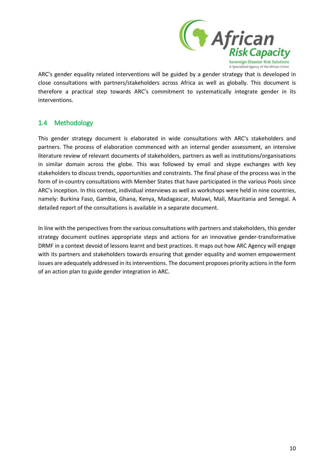

ARC's gender equality related interventions will be guided by a gender strategy that is developed in close consultations with partners/stakeholders across Africa as well as globally. This document is therefore a practical step towards ARC's commitment to systematically integrate gender in its interventions.

## <span id="page-9-0"></span>1.4 Methodology

This gender strategy document is elaborated in wide consultations with ARC's stakeholders and partners. The process of elaboration commenced with an internal gender assessment, an intensive literature review of relevant documents of stakeholders, partners as well as institutions/organisations in similar domain across the globe. This was followed by email and skype exchanges with key stakeholders to discuss trends, opportunities and constraints. The final phase of the process was in the form of in-country consultations with Member States that have participated in the various Pools since ARC's inception. In this context, individual interviews as well as workshops were held in nine countries, namely: Burkina Faso, Gambia, Ghana, Kenya, Madagascar, Malawi, Mali, Mauritania and Senegal. A detailed report of the consultations is available in a separate document.

In line with the perspectives from the various consultations with partners and stakeholders, this gender strategy document outlines appropriate steps and actions for an innovative gender-transformative DRMF in a context devoid of lessons learnt and best practices. It maps out how ARC Agency will engage with its partners and stakeholders towards ensuring that gender equality and women empowerment issues are adequately addressed in its interventions. The document proposes priority actions in the form of an action plan to guide gender integration in ARC.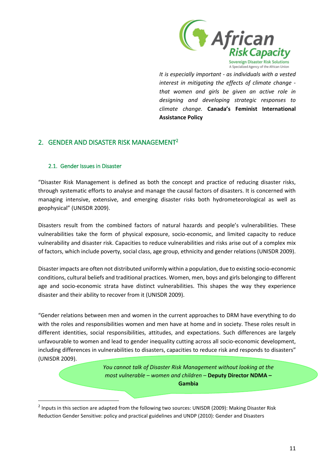

*It is especially important - as individuals with a vested interest in mitigating the effects of climate change that women and girls be given an active role in designing and developing strategic responses to climate change.* **Canada's Feminist International Assistance Policy**

## <span id="page-10-0"></span>2. GENDER AND DISASTER RISK MANAGEMENT<sup>2</sup>

### <span id="page-10-1"></span>2.1. Gender Issues in Disaster

 $\overline{a}$ 

"Disaster Risk Management is defined as both the concept and practice of reducing disaster risks, through systematic efforts to analyse and manage the causal factors of disasters. It is concerned with managing intensive, extensive, and emerging disaster risks both hydrometeorological as well as geophysical" (UNISDR 2009).

Disasters result from the combined factors of natural hazards and people's vulnerabilities. These vulnerabilities take the form of physical exposure, socio-economic, and limited capacity to reduce vulnerability and disaster risk. Capacities to reduce vulnerabilities and risks arise out of a complex mix of factors, which include poverty, social class, age group, ethnicity and gender relations (UNISDR 2009).

Disaster impacts are often not distributed uniformly within a population, due to existing socio-economic conditions, cultural beliefs and traditional practices. Women, men, boys and girls belonging to different age and socio-economic strata have distinct vulnerabilities. This shapes the way they experience disaster and their ability to recover from it (UNISDR 2009).

"Gender relations between men and women in the current approaches to DRM have everything to do with the roles and responsibilities women and men have at home and in society. These roles result in different identities, social responsibilities, attitudes, and expectations. Such differences are largely unfavourable to women and lead to gender inequality cutting across all socio-economic development, including differences in vulnerabilities to disasters, capacities to reduce risk and responds to disasters" (UNISDR 2009).

> *You cannot talk of Disaster Risk Management without looking at the most vulnerable – women and children* – **Deputy Director NDMA – Gambia**

<sup>&</sup>lt;sup>2</sup> Inputs in this section are adapted from the following two sources: UNISDR (2009): Making Disaster Risk Reduction Gender Sensitive: policy and practical guidelines and UNDP (2010): Gender and Disasters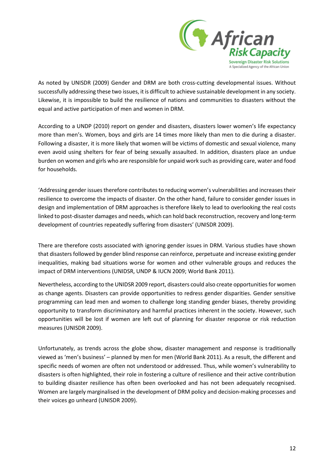

As noted by UNISDR (2009) Gender and DRM are both cross-cutting developmental issues. Without successfully addressing these two issues, it is difficult to achieve sustainable development in any society. Likewise, it is impossible to build the resilience of nations and communities to disasters without the equal and active participation of men and women in DRM.

According to a UNDP (2010) report on gender and disasters, disasters lower women's life expectancy more than men's. Women, boys and girls are 14 times more likely than men to die during a disaster. Following a disaster, it is more likely that women will be victims of domestic and sexual violence, many even avoid using shelters for fear of being sexually assaulted. In addition, disasters place an undue burden on women and girls who are responsible for unpaid work such as providing care, water and food for households.

'Addressing gender issues therefore contributes to reducing women's vulnerabilities and increases their resilience to overcome the impacts of disaster. On the other hand, failure to consider gender issues in design and implementation of DRM approaches is therefore likely to lead to overlooking the real costs linked to post-disaster damages and needs, which can hold back reconstruction, recovery and long-term development of countries repeatedly suffering from disasters' (UNISDR 2009).

There are therefore costs associated with ignoring gender issues in DRM. Various studies have shown that disasters followed by gender blind response can reinforce, perpetuate and increase existing gender inequalities, making bad situations worse for women and other vulnerable groups and reduces the impact of DRM interventions (UNIDSR, UNDP & IUCN 2009; World Bank 2011).

Nevertheless, according to the UNIDSR 2009 report, disasters could also create opportunities for women as change agents. Disasters can provide opportunities to redress gender disparities. Gender sensitive programming can lead men and women to challenge long standing gender biases, thereby providing opportunity to transform discriminatory and harmful practices inherent in the society. However, such opportunities will be lost if women are left out of planning for disaster response or risk reduction measures (UNISDR 2009).

Unfortunately, as trends across the globe show, disaster management and response is traditionally viewed as 'men's business' – planned by men for men (World Bank 2011). As a result, the different and specific needs of women are often not understood or addressed. Thus, while women's vulnerability to disasters is often highlighted, their role in fostering a culture of resilience and their active contribution to building disaster resilience has often been overlooked and has not been adequately recognised. Women are largely marginalised in the development of DRM policy and decision-making processes and their voices go unheard (UNISDR 2009).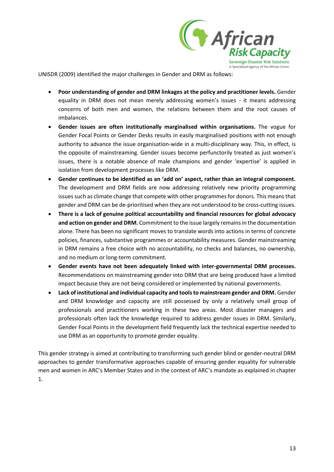

UNISDR (2009) identified the major challenges in Gender and DRM as follows:

- **Poor understanding of gender and DRM linkages at the policy and practitioner levels.** Gender equality in DRM does not mean merely addressing women's issues - it means addressing concerns of both men and women, the relations between them and the root causes of imbalances.
- **Gender issues are often institutionally marginalised within organisations.** The vogue for Gender Focal Points or Gender Desks results in easily marginalised positions with not enough authority to advance the issue organisation-wide in a multi-disciplinary way. This, in effect, is the opposite of mainstreaming. Gender issues become perfunctorily treated as just women's issues, there is a notable absence of male champions and gender 'expertise' is applied in isolation from development processes like DRM.
- **Gender continues to be identified as an 'add on' aspect, rather than an integral component.** The development and DRM fields are now addressing relatively new priority programming issues such as climate change that compete with other programmes for donors. This means that gender and DRM can be de-prioritised when they are not understood to be cross-cutting issues.
- **There is a lack of genuine political accountability and financial resources for global advocacy and action on gender and DRM.** Commitment to the issue largely remains in the documentation alone. There has been no significant moves to translate words into actions in terms of concrete policies, finances, substantive programmes or accountability measures. Gender mainstreaming in DRM remains a free choice with no accountability, no checks and balances, no ownership, and no medium or long-term commitment.
- **Gender events have not been adequately linked with inter-governmental DRM processes.** Recommendations on mainstreaming gender into DRM that are being produced have a limited impact because they are not being considered or implemented by national governments.
- **Lack of institutional and individual capacity and tools to mainstream gender and DRM.** Gender and DRM knowledge and capacity are still possessed by only a relatively small group of professionals and practitioners working in these two areas. Most disaster managers and professionals often lack the knowledge required to address gender issues in DRM. Similarly, Gender Focal Points in the development field frequently lack the technical expertise needed to use DRM as an opportunity to promote gender equality.

This gender strategy is aimed at contributing to transforming such gender blind or gender-neutral DRM approaches to gender transformative approaches capable of ensuring gender equality for vulnerable men and women in ARC's Member States and in the context of ARC's mandate as explained in chapter 1.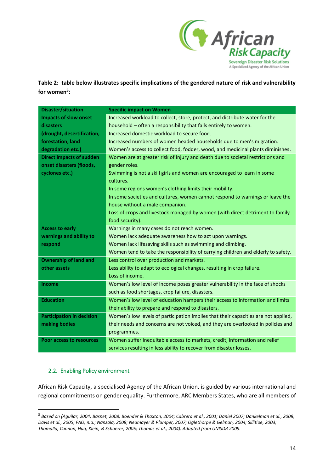

**Table 2: table below illustrates specific implications of the gendered nature of risk and vulnerability for women<sup>3</sup> :**

| <b>Disaster/situation</b>        | <b>Specific impact on Women</b>                                                    |
|----------------------------------|------------------------------------------------------------------------------------|
| <b>Impacts of slow onset</b>     | Increased workload to collect, store, protect, and distribute water for the        |
| disasters                        | household - often a responsibility that falls entirely to women.                   |
| (drought, desertification,       | Increased domestic workload to secure food.                                        |
| forestation, land                | Increased numbers of women headed households due to men's migration.               |
| degradation etc.)                | Women's access to collect food, fodder, wood, and medicinal plants diminishes.     |
| <b>Direct impacts of sudden</b>  | Women are at greater risk of injury and death due to societal restrictions and     |
| onset disasters (floods,         | gender roles.                                                                      |
| cyclones etc.)                   | Swimming is not a skill girls and women are encouraged to learn in some            |
|                                  | cultures.                                                                          |
|                                  | In some regions women's clothing limits their mobility.                            |
|                                  | In some societies and cultures, women cannot respond to warnings or leave the      |
|                                  | house without a male companion.                                                    |
|                                  | Loss of crops and livestock managed by women (with direct detriment to family      |
|                                  | food security).                                                                    |
| <b>Access to early</b>           | Warnings in many cases do not reach women.                                         |
| warnings and ability to          | Women lack adequate awareness how to act upon warnings.                            |
| respond                          | Women lack lifesaving skills such as swimming and climbing.                        |
|                                  | Women tend to take the responsibility of carrying children and elderly to safety.  |
| <b>Ownership of land and</b>     | Less control over production and markets.                                          |
| other assets                     | Less ability to adapt to ecological changes, resulting in crop failure.            |
|                                  | Loss of income.                                                                    |
| <b>Income</b>                    | Women's low level of income poses greater vulnerability in the face of shocks      |
|                                  | such as food shortages, crop failure, disasters.                                   |
| <b>Education</b>                 | Women's low level of education hampers their access to information and limits      |
|                                  | their ability to prepare and respond to disasters.                                 |
| <b>Participation in decision</b> | Women's low levels of participation implies that their capacities are not applied, |
| making bodies                    | their needs and concerns are not voiced, and they are overlooked in policies and   |
|                                  | programmes.                                                                        |
| <b>Poor access to resources</b>  | Women suffer inequitable access to markets, credit, information and relief         |
|                                  | services resulting in less ability to recover from disaster losses.                |

### <span id="page-13-0"></span>2.2. Enabling Policy environment

l

African Risk Capacity, a specialised Agency of the African Union, is guided by various international and regional commitments on gender equality. Furthermore, ARC Members States, who are all members of

<sup>3</sup> *Based on (Aguilar, 2004; Basnet, 2008; Boender & Thaxton, 2004; Cabrera et al., 2001; Daniel 2007; Dankelman et al., 2008; Davis et al., 2005; FAO, n.a.; Nanzala, 2008; Neumayer & Plumper, 2007; Oglethorpe & Gelman, 2004; Sillitioe, 2003; Thomalla, Cannon, Huq, Klein, & Schaerer, 2005; Thomas et al., 2004). Adapted from UNISDR 2009.*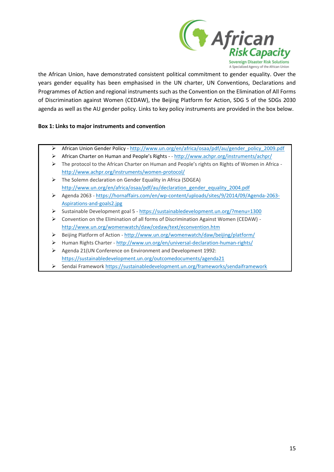

the African Union, have demonstrated consistent political commitment to gender equality. Over the years gender equality has been emphasised in the UN charter, UN Conventions, Declarations and Programmes of Action and regional instruments such as the Convention on the Elimination of All Forms of Discrimination against Women (CEDAW), the Beijing Platform for Action, SDG 5 of the SDGs 2030 agenda as well as the AU gender policy. Links to key policy instruments are provided in the box below.

#### **Box 1: Links to major instruments and convention**

- ➢ African Union Gender Policy [http://www.un.org/en/africa/osaa/pdf/au/gender\\_policy\\_2009.pdf](http://www.un.org/en/africa/osaa/pdf/au/gender_policy_2009.pdf)
- ➢ African Charter on Human and People's Rights - <http://www.achpr.org/instruments/achpr/>
- ➢ The protocol to the African Charter on Human and People's rights on Rights of Women in Africa <http://www.achpr.org/instruments/women-protocol/>
- ➢ The Solemn declaration on Gender Equality in Africa (SDGEA) [http://www.un.org/en/africa/osaa/pdf/au/declaration\\_gender\\_equality\\_2004.pdf](http://www.un.org/en/africa/osaa/pdf/au/declaration_gender_equality_2004.pdf)
- ➢ Agenda 2063 [https://hornaffairs.com/en/wp-content/uploads/sites/9/2014/09/Agenda-2063-](https://hornaffairs.com/en/wp-content/uploads/sites/9/2014/09/Agenda-2063-Aspirations-and-goals2.jpg) [Aspirations-and-goals2.jpg](https://hornaffairs.com/en/wp-content/uploads/sites/9/2014/09/Agenda-2063-Aspirations-and-goals2.jpg)
- ➢ Sustainable Development goal 5 <https://sustainabledevelopment.un.org/?menu=1300>
- ➢ Convention on the Elimination of all forms of Discrimination Against Women (CEDAW) <http://www.un.org/womenwatch/daw/cedaw/text/econvention.htm>
- ➢ Beijing Platform of Action <http://www.un.org/womenwatch/daw/beijing/platform/>
- ➢ Human Rights Charter <http://www.un.org/en/universal-declaration-human-rights/>
- ➢ Agenda 21(UN Conference on Environment and Development 1992: <https://sustainabledevelopment.un.org/outcomedocuments/agenda21>
- ➢ Sendai Framework<https://sustainabledevelopment.un.org/frameworks/sendaiframework>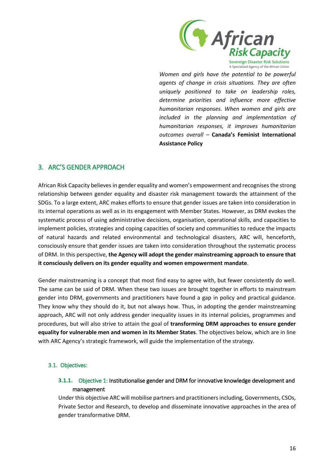

*Women and girls have the potential to be powerful agents of change in crisis situations. They are often uniquely positioned to take on leadership roles, determine priorities and influence more effective humanitarian responses. When women and girls are included in the planning and implementation of humanitarian responses, it improves humanitarian outcomes overall –* **Canada's Feminist International Assistance Policy**

### <span id="page-15-0"></span>3. ARC'S GENDER APPROACH

African Risk Capacity believes in gender equality and women's empowerment and recognises the strong relationship between gender equality and disaster risk management towards the attainment of the SDGs. To a large extent, ARC makes efforts to ensure that gender issues are taken into consideration in its internal operations as well as in its engagement with Member States. However, as DRM evokes the systematic process of using administrative decisions, organisation, operational skills, and capacities to implement policies, strategies and coping capacities of society and communities to reduce the impacts of natural hazards and related environmental and technological disasters, ARC will, henceforth, consciously ensure that gender issues are taken into consideration throughout the systematic process of DRM. In this perspective, **the Agency will adopt the gender mainstreaming approach to ensure that it consciously delivers on its gender equality and women empowerment mandate**.

Gender mainstreaming is a concept that most find easy to agree with, but fewer consistently do well. The same can be said of DRM. When these two issues are brought together in efforts to mainstream gender into DRM, governments and practitioners have found a gap in policy and practical guidance. They know why they should do it, but not always how. Thus, in adopting the gender mainstreaming approach, ARC will not only address gender inequality issues in its internal policies, programmes and procedures, but will also strive to attain the goal of **transforming DRM approaches to ensure gender equality for vulnerable men and women in its Member States**. The objectives below, which are in line with ARC Agency's strategic framework, will guide the implementation of the strategy.

### <span id="page-15-2"></span><span id="page-15-1"></span>3.1. Objectives:

### **3.1.1.** Objective 1: Institutionalise gender and DRM for innovative knowledge development and management

Under this objective ARC will mobilise partners and practitioners including, Governments, CSOs, Private Sector and Research, to develop and disseminate innovative approaches in the area of gender transformative DRM.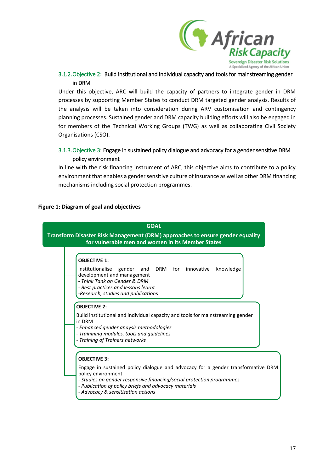

### <span id="page-16-0"></span>3.1.2.Objective 2: Build institutional and individual capacity and tools for mainstreaming gender in DRM

Under this objective, ARC will build the capacity of partners to integrate gender in DRM processes by supporting Member States to conduct DRM targeted gender analysis. Results of the analysis will be taken into consideration during ARV customisation and contingency planning processes. Sustained gender and DRM capacity building efforts will also be engaged in for members of the Technical Working Groups (TWG) as well as collaborating Civil Society Organisations (CSO).

### <span id="page-16-1"></span>3.1.3.Objective 3: Engage in sustained policy dialogue and advocacy for a gender sensitive DRM policy environment

In line with the risk financing instrument of ARC, this objective aims to contribute to a policy environment that enables a gender sensitive culture of insurance as well as other DRM financing mechanisms including social protection programmes.

#### **Figure 1: Diagram of goal and objectives**

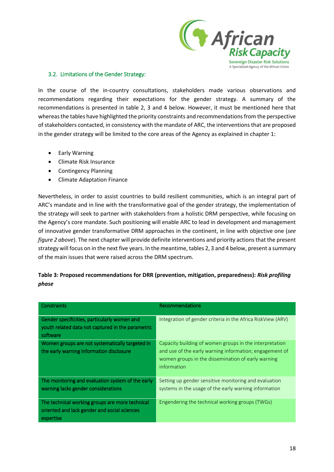

#### <span id="page-17-0"></span>3.2. Limitations of the Gender Strategy:

In the course of the in-country consultations, stakeholders made various observations and recommendations regarding their expectations for the gender strategy. A summary of the recommendations is presented in table 2, 3 and 4 below. However, it must be mentioned here that whereas the tables have highlighted the priority constraints and recommendations from the perspective of stakeholders contacted, in consistency with the mandate of ARC, the interventions that are proposed in the gender strategy will be limited to the core areas of the Agency as explained in chapter 1:

- Early Warning
- Climate Risk Insurance
- Contingency Planning
- Climate Adaptation Finance

Nevertheless, in order to assist countries to build resilient communities, which is an integral part of ARC's mandate and in line with the transformative goal of the gender strategy, the implementation of the strategy will seek to partner with stakeholders from a holistic DRM perspective, while focusing on the Agency's core mandate. Such positioning will enable ARC to lead in development and management of innovative gender transformative DRM approaches in the continent, in line with objective one (*see figure 2 above*). The next chapter will provide definite interventions and priority actions that the present strategy will focus on in the next five years. In the meantime, tables 2, 3 and 4 below, present a summary of the main issues that were raised across the DRM spectrum.

### **Table 3: Proposed recommendations for DRR (prevention, mitigation, preparedness):** *Risk profiling phase*

| Constraints                                                                                                   | <b>Recommendations</b>                                                                                                                                                                  |
|---------------------------------------------------------------------------------------------------------------|-----------------------------------------------------------------------------------------------------------------------------------------------------------------------------------------|
| Gender specificities, particularly women and<br>youth related data not captured in the parametric<br>software | Integration of gender criteria in the Africa RiskView (ARV)                                                                                                                             |
| Women groups are not systematically targeted in<br>the early warning information disclosure                   | Capacity building of women groups in the interpretation<br>and use of the early warning information; engagement of<br>women groups in the dissemination of early warning<br>information |
| The monitoring and evaluation system of the early<br>warning lacks gender considerations                      | Setting up gender sensitive monitoring and evaluation<br>systems in the usage of the early warning information                                                                          |
| The technical working groups are more technical<br>oriented and lack gender and social sciences<br>expertise  | Engendering the technical working groups (TWGs)                                                                                                                                         |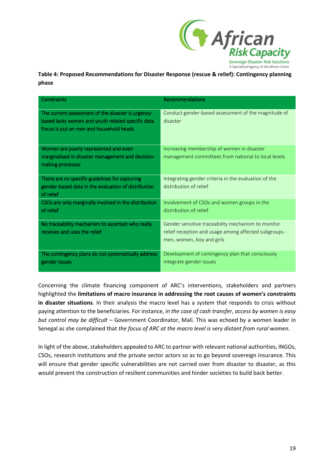

**Table 4: Proposed Recommendations for Disaster Response (rescue & relief): Contingency planning phase**

| Constraints                                                                                                                                        | Recommendations                                                                                                                          |
|----------------------------------------------------------------------------------------------------------------------------------------------------|------------------------------------------------------------------------------------------------------------------------------------------|
| The current assessment of the disaster is urgency-<br>based lacks women and youth related specific data<br>Focus is put on men and household heads | Conduct gender-based assessment of the magnitude of<br>disaster                                                                          |
| Women are poorly represented and even<br>marginalised in disaster management and decision-<br>making processes                                     | Increasing membership of women in disaster<br>management committees from national to local levels                                        |
| There are no specific guidelines for capturing<br>gender-based data in the evaluation of distribution<br>of relief                                 | Integrating gender criteria in the evaluation of the<br>distribution of relief                                                           |
| CSOs are only marginally involved in the distribution<br>of relief                                                                                 | Involvement of CSOs and women groups in the<br>distribution of relief                                                                    |
| No traceability mechanism to ascertain who really<br>receives and uses the relief                                                                  | Gender sensitive traceability mechanism to monitor<br>relief reception and usage among affected subgroups -<br>men, women, boy and girls |
| The contingency plans do not systematically address<br>gender issues                                                                               | Development of contingency plan that consciously<br>integrate gender issues                                                              |

Concerning the climate financing component of ARC's interventions, stakeholders and partners highlighted the **limitations of macro insurance in addressing the root causes of women's constraints in disaster situations**. In their analysis the macro level has a system that responds to crisis without paying attention to the beneficiaries. For instance, *in the case of cash transfer, access by women is easy but control may be difficult –* Government Coordinator, Mali. This was echoed by a women leader in Senegal as she complained that *the focus of ARC at the macro level is very distant from rural women*.

In light of the above, stakeholders appealed to ARC to partner with relevant national authorities, INGOs, CSOs, research institutions and the private sector actors so as to go beyond sovereign insurance. This will ensure that gender specific vulnerabilities are not carried over from disaster to disaster, as this would prevent the construction of resilient communities and hinder societies to build back better.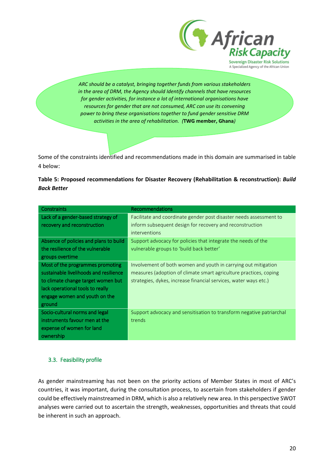

*ARC should be a catalyst, bringing together funds from various stakeholders in the area of DRM, the Agency should Identify channels that have resources for gender activities, for instance a lot of international organisations have resources for gender that are not consumed, ARC can use its convening power to bring these organisations together to fund gender sensitive DRM activities in the area of rehabilitation. (***TWG member, Ghana***)*

Some of the constraints identified and recommendations made in this domain are summarised in table 4 below:



| <b>Constraints</b>                     | <b>Recommendations</b>                                               |
|----------------------------------------|----------------------------------------------------------------------|
| Lack of a gender-based strategy of     | Facilitate and coordinate gender post disaster needs assessment to   |
| recovery and reconstruction            | inform subsequent design for recovery and reconstruction             |
|                                        | <i>interventions</i>                                                 |
| Absence of policies and plans to build | Support advocacy for policies that integrate the needs of the        |
| the resilience of the vulnerable       | vulnerable groups to 'build back better'                             |
| groups overtime                        |                                                                      |
| Most of the programmes promoting       | Involvement of both women and youth in carrying out mitigation       |
| sustainable livelihoods and resilience | measures (adoption of climate smart agriculture practices, coping    |
| to climate change target women but     | strategies, dykes, increase financial services, water ways etc.)     |
| lack operational tools to really       |                                                                      |
| engage women and youth on the          |                                                                      |
| ground                                 |                                                                      |
| Socio-cultural norms and legal         | Support advocacy and sensitisation to transform negative patriarchal |
| instruments favour men at the          | trends                                                               |
| expense of women for land              |                                                                      |
| ownership                              |                                                                      |

### <span id="page-19-0"></span>3.3. Feasibility profile

As gender mainstreaming has not been on the priority actions of Member States in most of ARC's countries, it was important, during the consultation process, to ascertain from stakeholders if gender could be effectively mainstreamed in DRM, which is also a relatively new area. In this perspective SWOT analyses were carried out to ascertain the strength, weaknesses, opportunities and threats that could be inherent in such an approach.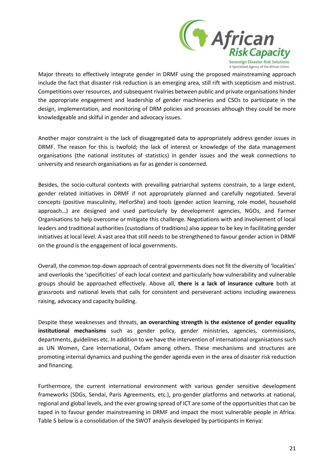

Major threats to effectively integrate gender in DRMF using the proposed mainstreaming approach include the fact that disaster risk reduction is an emerging area, still rift with scepticism and mistrust. Competitions over resources, and subsequent rivalries between public and private organisations hinder the appropriate engagement and leadership of gender machineries and CSOs to participate in the design, implementation, and monitoring of DRM policies and processes although they could be more knowledgeable and skilful in gender and advocacy issues.

Another major constraint is the lack of disaggregated data to appropriately address gender issues in DRMF. The reason for this is twofold; the lack of interest or knowledge of the data management organisations (the national institutes of statistics) in gender issues and the weak connections to university and research organisations as far as gender is concerned.

Besides, the socio-cultural contexts with prevailing patriarchal systems constrain, to a large extent, gender related initiatives in DRMF if not appropriately planned and carefully negotiated. Several concepts (positive masculinity, HeForShe) and tools (gender action learning, role model, household approach…) are designed and used particularly by development agencies, NGOs, and Farmer Organisations to help overcome or mitigate this challenge. Negotiations with and involvement of local leaders and traditional authorities (custodians of traditions) also appear to be key in facilitating gender initiatives at local level. A vast area that still needs to be strengthened to favour gender action in DRMF on the ground is the engagement of local governments.

Overall, the common top-down approach of central governments does not fit the diversity of 'localities' and overlooks the 'specificities' of each local context and particularly how vulnerability and vulnerable groups should be approached effectively. Above all, **there is a lack of insurance culture** both at grassroots and national levels that calls for consistent and perseverant actions including awareness raising, advocacy and capacity building.

Despite these weaknesses and threats, **an overarching strength is the existence of gender equality institutional mechanisms** such as gender policy, gender ministries, agencies, commissions, departments, guidelines etc. In addition to we have the intervention of international organisations such as UN Women, Care International, Oxfam among others. These mechanisms and structures are promoting internal dynamics and pushing the gender agenda even in the area of disaster risk reduction and financing.

Furthermore, the current international environment with various gender sensitive development frameworks (SDGs, Sendai, Paris Agreements, etc.), pro-gender platforms and networks at national, regional and global levels, and the ever growing spread of ICT are some of the opportunities that can be taped in to favour gender mainstreaming in DRMF and impact the most vulnerable people in Africa. Table 5 below is a consolidation of the SWOT analysis developed by participants in Kenya: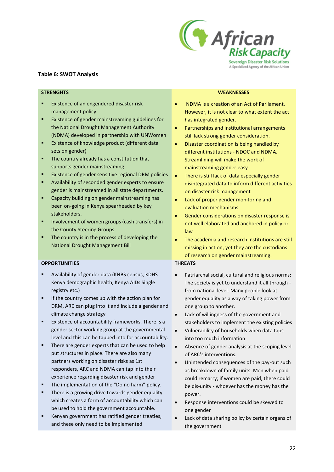

#### **Table 6: SWOT Analysis**

- Existence of an engendered disaster risk management policy
- Existence of gender mainstreaming guidelines for the National Drought Management Authority (NDMA) developed in partnership with UNWomen
- Existence of knowledge product (different data sets on gender)
- The country already has a constitution that supports gender mainstreaming
- Existence of gender sensitive regional DRM policies
- Availability of seconded gender experts to ensure gender is mainstreamed in all state departments.
- Capacity building on gender mainstreaming has been on-going in Kenya spearheaded by key stakeholders.
- Involvement of women groups (cash transfers) in the County Steering Groups.
- The country is in the process of developing the National Drought Management Bill

#### **OPPORTUNITIES THREATS**

- Availability of gender data (KNBS census, KDHS Kenya demographic health, Kenya AIDs Single registry etc.)
- If the country comes up with the action plan for DRM, ARC can plug into it and include a gender and climate change strategy
- Existence of accountability frameworks. There is a gender sector working group at the governmental level and this can be tapped into for accountability.
- There are gender experts that can be used to help put structures in place. There are also many partners working on disaster risks as 1st responders, ARC and NDMA can tap into their experience regarding disaster risk and gender
- The implementation of the "Do no harm" policy.
- There is a growing drive towards gender equality which creates a form of accountability which can be used to hold the government accountable.
- Kenyan government has ratified gender treaties, and these only need to be implemented

#### **STRENGHTS WEAKNESSES**

- NDMA is a creation of an Act of Parliament. However, it is not clear to what extent the act has integrated gender.
- Partnerships and institutional arrangements still lack strong gender consideration.
- Disaster coordination is being handled by different institutions - NDOC and NDMA. Streamlining will make the work of mainstreaming gender easy.
- There is still lack of data especially gender disintegrated data to inform different activities on disaster risk management
- Lack of proper gender monitoring and evaluation mechanisms
- Gender considerations on disaster response is not well elaborated and anchored in policy or law
- The academia and research institutions are still missing in action, yet they are the custodians of research on gender mainstreaming.

- Patriarchal social, cultural and religious norms: The society is yet to understand it all through from national level. Many people look at gender equality as a way of taking power from one group to another.
- Lack of willingness of the government and stakeholders to implement the existing policies
- Vulnerability of households when data taps into too much information
- Absence of gender analysis at the scoping level of ARC's interventions.
- Unintended consequences of the pay-out such as breakdown of family units. Men when paid could remarry; if women are paid, there could be dis-unity - whoever has the money has the power.
- Response interventions could be skewed to one gender
- Lack of data sharing policy by certain organs of the government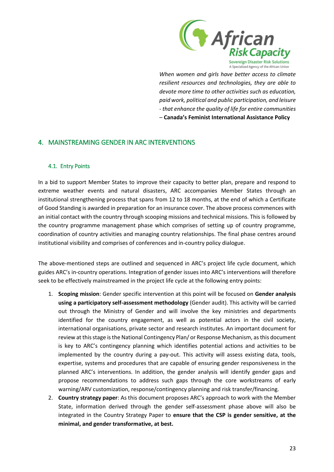

*When women and girls have better access to climate resilient resources and technologies, they are able to devote more time to other activities such as education, paid work, political and public participation, and leisure - that enhance the quality of life for entire communities –* **Canada's Feminist International Assistance Policy**

### <span id="page-22-0"></span>4. MAINSTREAMING GENDER IN ARC INTERVENTIONS

#### <span id="page-22-1"></span>4.1. Entry Points

In a bid to support Member States to improve their capacity to better plan, prepare and respond to extreme weather events and natural disasters, ARC accompanies Member States through an institutional strengthening process that spans from 12 to 18 months, at the end of which a Certificate of Good Standing is awarded in preparation for an insurance cover. The above process commences with an initial contact with the country through scooping missions and technical missions. This is followed by the country programme management phase which comprises of setting up of country programme, coordination of country activities and managing country relationships. The final phase centres around institutional visibility and comprises of conferences and in-country policy dialogue.

The above-mentioned steps are outlined and sequenced in ARC's project life cycle document, which guides ARC's in-country operations. Integration of gender issues into ARC's interventions will therefore seek to be effectively mainstreamed in the project life cycle at the following entry points:

- 1. **Scoping mission**: Gender specific intervention at this point will be focused on **Gender analysis using a participatory self-assessment methodology** (Gender audit). This activity will be carried out through the Ministry of Gender and will involve the key ministries and departments identified for the country engagement, as well as potential actors in the civil society, international organisations, private sector and research institutes. An important document for review at this stage is the National Contingency Plan/ or Response Mechanism, as this document is key to ARC's contingency planning which identifies potential actions and activities to be implemented by the country during a pay-out. This activity will assess existing data, tools, expertise, systems and procedures that are capable of ensuring gender responsiveness in the planned ARC's interventions. In addition, the gender analysis will identify gender gaps and propose recommendations to address such gaps through the core workstreams of early warning/ARV customization, response/contingency planning and risk transfer/financing.
- 2. **Country strategy paper**: As this document proposes ARC's approach to work with the Member State, information derived through the gender self-assessment phase above will also be integrated in the Country Strategy Paper to **ensure that the CSP is gender sensitive, at the minimal, and gender transformative, at best.**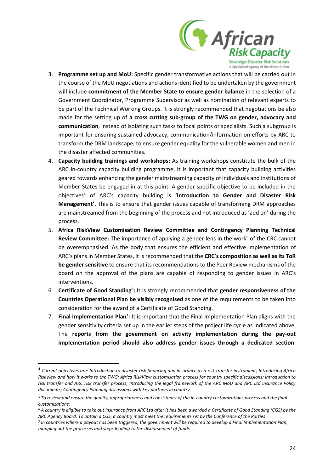

- 3. **Programme set up and MoU:** Specific gender transformative actions that will be carried out in the course of the MoU negotiations and actions identified to be undertaken by the government will include **commitment of the Member State to ensure gender balance** in the selection of a Government Coordinator, Programme Supervisor as well as nomination of relevant experts to be part of the Technical Working Groups. It is strongly recommended that negotiations be also made for the setting up of **a cross cutting sub-group of the TWG on gender, advocacy and communication**, instead of isolating such tasks to focal points or specialists. Such a subgroup is important for ensuring sustained advocacy, communication/information on efforts by ARC to transform the DRM landscape, to ensure gender equality for the vulnerable women and men in the disaster affected communities.
- 4. **Capacity building trainings and workshops:** As training workshops constitute the bulk of the ARC in-country capacity building programme, it is important that capacity building activities geared towards enhancing the gender mainstreaming capacity of individuals and institutions of Member States be engaged in at this point. A gender specific objective to be included in the objectives<sup>4</sup> of ARC's capacity building is '**Introduction to Gender and Disaster Risk Management'.** This is to ensure that gender issues capable of transforming DRM approaches are mainstreamed from the beginning of the process and not introduced as 'add on' during the process.
- 5. **Africa RiskView Customisation Review Committee and Contingency Planning Technical Review Committee:** The importance of applying a gender lens in the work<sup>5</sup> of the CRC cannot be overemphasised. As the body that ensures the efficient and effective implementation of ARC's plans in Member States, it is recommended that the **CRC's composition as well as its ToR be gender sensitive** to ensure that its recommendations to the Peer Review mechanisms of the board on the approval of the plans are capable of responding to gender issues in ARC's interventions.
- 6. Certificate of Good Standing<sup>6</sup>: It is strongly recommended that gender responsiveness of the **Countries Operational Plan be visibly recognised** as one of the requirements to be taken into consideration for the award of a Certificate of Good Standing.
- 7. Final Implementation Plan<sup>7</sup>: It is important that the Final Implementation Plan aligns with the gender sensitivity criteria set up in the earlier steps of the project life cycle as indicated above. The **reports from the government on activity implementation during the pay-out implementation period should also address gender issues through a dedicated section**.

l

<sup>&</sup>lt;sup>4</sup> Current objectives are: Introduction to disaster risk financing and insurance as a risk transfer instrument; Introducing Africa *RiskView and how it works to the TWG; Africa RiskView customisation process for country specific discussions; Introduction to risk transfer and ARC risk transfer process; Introducing the legal framework of the ARC MoU and ARC Ltd Insurance Policy documents; Contingency Planning discussions with key partners in country*

*<sup>5</sup> To review and ensure the quality, appropriateness and consistency of the in-country customizations process and the final customizations.*

*<sup>6</sup> A country is eligible to take out insurance from ARC Ltd after it has been awarded a Certificate of Good Standing (CGS) by the ARC Agency Board. To obtain a CGS, a country must meet the requirements set by the Conference of the Parties*

*<sup>7</sup> In countries where a payout has been triggered, the government will be required to develop a Final Implementation Plan, mapping out the processes and steps leading to the disbursement of funds.*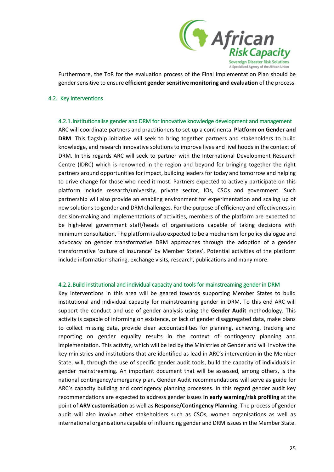

Furthermore, the ToR for the evaluation process of the Final Implementation Plan should be gender sensitive to ensure **efficient gender sensitive monitoring and evaluation** of the process.

#### <span id="page-24-1"></span><span id="page-24-0"></span>4.2. Key Interventions

#### 4.2.1.Institutionalise gender and DRM for innovative knowledge development and management

ARC will coordinate partners and practitioners to set-up a continental **Platform on Gender and DRM**. This flagship initiative will seek to bring together partners and stakeholders to build knowledge, and research innovative solutions to improve lives and livelihoods in the context of DRM. In this regards ARC will seek to partner with the International Development Research Centre (IDRC) which is renowned in the region and beyond for bringing together the right partners around opportunities for impact, building leaders for today and tomorrow and helping to drive change for those who need it most. Partners expected to actively participate on this platform include research/university, private sector, IOs, CSOs and government. Such partnership will also provide an enabling environment for experimentation and scaling up of new solutions to gender and DRM challenges. For the purpose of efficiency and effectiveness in decision-making and implementations of activities, members of the platform are expected to be high-level government staff/heads of organisations capable of taking decisions with minimum consultation. The platform is also expected to be a mechanism for policy dialogue and advocacy on gender transformative DRM approaches through the adoption of a gender transformative 'culture of insurance' by Member States'. Potential activities of the platform include information sharing, exchange visits, research, publications and many more.

#### <span id="page-24-2"></span>4.2.2.Build institutional and individual capacity and tools for mainstreaming gender in DRM

Key interventions in this area will be geared towards supporting Member States to build institutional and individual capacity for mainstreaming gender in DRM. To this end ARC will support the conduct and use of gender analysis using the **Gender Audit** methodology. This activity is capable of informing on existence, or lack of gender disaggregated data, make plans to collect missing data, provide clear accountabilities for planning, achieving, tracking and reporting on gender equality results in the context of contingency planning and implementation. This activity, which will be led by the Ministries of Gender and will involve the key ministries and institutions that are identified as lead in ARC's intervention in the Member State, will, through the use of specific gender audit tools, build the capacity of individuals in gender mainstreaming. An important document that will be assessed, among others, is the national contingency/emergency plan. Gender Audit recommendations will serve as guide for ARC's capacity building and contingency planning processes. In this regard gender audit key recommendations are expected to address gender issues **in early warning/risk profiling** at the point of **ARV customisation** as well as **Response/Contingency Planning**. The process of gender audit will also involve other stakeholders such as CSOs, women organisations as well as international organisations capable of influencing gender and DRM issues in the Member State.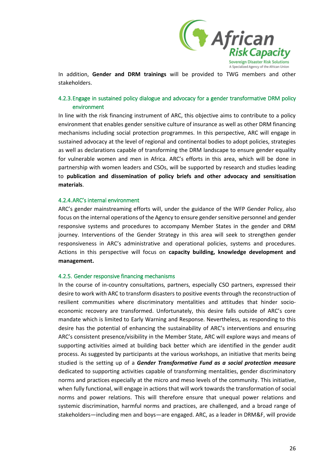

In addition, **Gender and DRM trainings** will be provided to TWG members and other stakeholders.

### <span id="page-25-0"></span>4.2.3.Engage in sustained policy dialogue and advocacy for a gender transformative DRM policy environment

In line with the risk financing instrument of ARC, this objective aims to contribute to a policy environment that enables gender sensitive culture of insurance as well as other DRM financing mechanisms including social protection programmes. In this perspective, ARC will engage in sustained advocacy at the level of regional and continental bodies to adopt policies, strategies as well as declarations capable of transforming the DRM landscape to ensure gender equality for vulnerable women and men in Africa. ARC's efforts in this area, which will be done in partnership with women leaders and CSOs, will be supported by research and studies leading to **publication and dissemination of policy briefs and other advocacy and sensitisation materials**.

#### <span id="page-25-1"></span>4.2.4.ARC's internal environment

ARC's gender mainstreaming efforts will, under the guidance of the WFP Gender Policy, also focus on the internal operations of the Agency to ensure gender sensitive personnel and gender responsive systems and procedures to accompany Member States in the gender and DRM journey. Interventions of the Gender Strategy in this area will seek to strengthen gender responsiveness in ARC's administrative and operational policies, systems and procedures. Actions in this perspective will focus on **capacity building, knowledge development and management.**

#### <span id="page-25-2"></span>4.2.5. Gender responsive financing mechanisms

In the course of in-country consultations, partners, especially CSO partners, expressed their desire to work with ARC to transform disasters to positive events through the reconstruction of resilient communities where discriminatory mentalities and attitudes that hinder socioeconomic recovery are transformed. Unfortunately, this desire falls outside of ARC's core mandate which is limited to Early Warning and Response. Nevertheless, as responding to this desire has the potential of enhancing the sustainability of ARC's interventions and ensuring ARC's consistent presence/visibility in the Member State, ARC will explore ways and means of supporting activities aimed at building back better which are identified in the gender audit process. As suggested by participants at the various workshops, an initiative that merits being studied is the setting up of a *Gender Transformative Fund as a social protection measure*  dedicated to supporting activities capable of transforming mentalities, gender discriminatory norms and practices especially at the micro and meso levels of the community. This initiative, when fully functional, will engage in actions that will work towards the transformation of social norms and power relations. This will therefore ensure that unequal power relations and systemic discrimination, harmful norms and practices, are challenged, and a broad range of stakeholders—including men and boys—are engaged. ARC, as a leader in DRM&F, will provide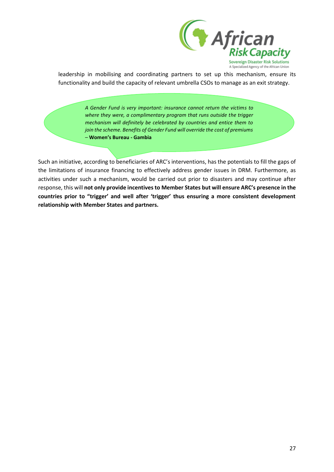

leadership in mobilising and coordinating partners to set up this mechanism, ensure its functionality and build the capacity of relevant umbrella CSOs to manage as an exit strategy.

> *A Gender Fund is very important: insurance cannot return the victims to where they were, a complimentary program that runs outside the trigger mechanism will definitely be celebrated by countries and entice them to join the scheme. Benefits of Gender Fund will override the cost of premiums*  – **Women's Bureau - Gambia**

Such an initiative, according to beneficiaries of ARC's interventions, has the potentials to fill the gaps of the limitations of insurance financing to effectively address gender issues in DRM. Furthermore, as activities under such a mechanism, would be carried out prior to disasters and may continue after response, this will **not only provide incentives to Member States but will ensure ARC's presence in the countries prior to "trigger' and well after 'trigger' thus ensuring a more consistent development relationship with Member States and partners.**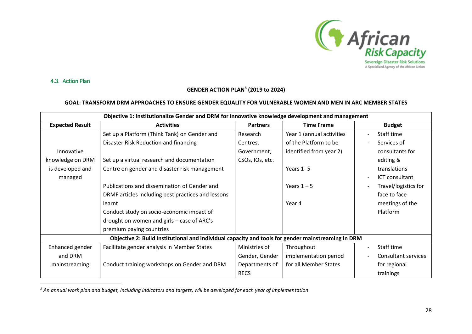

4.3. Action Plan

<span id="page-27-0"></span> $\overline{a}$ 

### **GENDER ACTION PLAN<sup>8</sup> (2019 to 2024)**

#### **GOAL: TRANSFORM DRM APPROACHES TO ENSURE GENDER EQUALITY FOR VULNERABLE WOMEN AND MEN IN ARC MEMBER STATES**

| Objective 1: Institutionalize Gender and DRM for innovative knowledge development and management |                                                                                                    |                 |                           |                      |  |
|--------------------------------------------------------------------------------------------------|----------------------------------------------------------------------------------------------------|-----------------|---------------------------|----------------------|--|
| <b>Expected Result</b>                                                                           | <b>Activities</b>                                                                                  | <b>Partners</b> | <b>Time Frame</b>         | <b>Budget</b>        |  |
|                                                                                                  | Set up a Platform (Think Tank) on Gender and                                                       | Research        | Year 1 (annual activities | Staff time           |  |
|                                                                                                  | Disaster Risk Reduction and financing                                                              | Centres,        | of the Platform to be     | Services of          |  |
| Innovative                                                                                       |                                                                                                    | Government,     | identified from year 2)   | consultants for      |  |
| knowledge on DRM                                                                                 | Set up a virtual research and documentation                                                        | CSOs, IOs, etc. |                           | editing &            |  |
| is developed and                                                                                 | Centre on gender and disaster risk management                                                      |                 | Years $1 - 5$             | translations         |  |
| managed                                                                                          |                                                                                                    |                 |                           | ICT consultant       |  |
|                                                                                                  | Publications and dissemination of Gender and                                                       |                 | Years $1 - 5$             | Travel/logistics for |  |
|                                                                                                  | DRMF articles including best practices and lessons                                                 |                 |                           | face to face         |  |
|                                                                                                  | learnt                                                                                             |                 | Year 4                    | meetings of the      |  |
|                                                                                                  | Conduct study on socio-economic impact of                                                          |                 |                           | Platform             |  |
|                                                                                                  | drought on women and girls – case of ARC's                                                         |                 |                           |                      |  |
|                                                                                                  | premium paying countries                                                                           |                 |                           |                      |  |
|                                                                                                  | Objective 2: Build Institutional and individual capacity and tools for gender mainstreaming in DRM |                 |                           |                      |  |
| Enhanced gender                                                                                  | Facilitate gender analysis in Member States                                                        | Ministries of   | Throughout                | Staff time           |  |
| and DRM                                                                                          |                                                                                                    | Gender, Gender  | implementation period     | Consultant services  |  |
| mainstreaming                                                                                    | Conduct training workshops on Gender and DRM                                                       | Departments of  | for all Member States     | for regional         |  |
|                                                                                                  |                                                                                                    | <b>RECS</b>     |                           | trainings            |  |

*<sup>8</sup> An annual work plan and budget, including indicators and targets, will be developed for each year of implementation*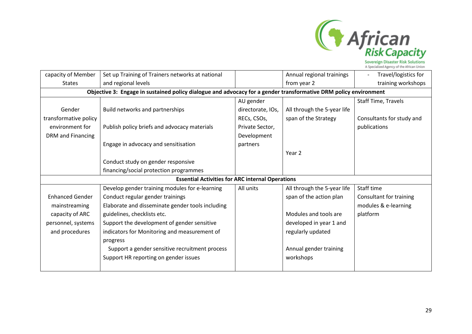

Sovereign Disaster Risk Solutions<br>A Specialized Agency of the African Union

| capacity of Member     | Set up Training of Trainers networks at national                                                                 |                   | Annual regional trainings   | Travel/logistics for      |  |  |  |
|------------------------|------------------------------------------------------------------------------------------------------------------|-------------------|-----------------------------|---------------------------|--|--|--|
| <b>States</b>          | and regional levels                                                                                              |                   | from year 2                 | training workshops        |  |  |  |
|                        | Objective 3: Engage in sustained policy dialogue and advocacy for a gender transformative DRM policy environment |                   |                             |                           |  |  |  |
|                        |                                                                                                                  | AU gender         |                             | Staff Time, Travels       |  |  |  |
| Gender                 | Build networks and partnerships                                                                                  | directorate, IOs, | All through the 5-year life |                           |  |  |  |
| transformative policy  |                                                                                                                  | RECs, CSOs,       | span of the Strategy        | Consultants for study and |  |  |  |
| environment for        | Publish policy briefs and advocacy materials                                                                     | Private Sector,   |                             | publications              |  |  |  |
| DRM and Financing      |                                                                                                                  | Development       |                             |                           |  |  |  |
|                        | Engage in advocacy and sensitisation                                                                             | partners          |                             |                           |  |  |  |
|                        |                                                                                                                  |                   | Year 2                      |                           |  |  |  |
|                        | Conduct study on gender responsive                                                                               |                   |                             |                           |  |  |  |
|                        | financing/social protection programmes                                                                           |                   |                             |                           |  |  |  |
|                        | <b>Essential Activities for ARC internal Operations</b>                                                          |                   |                             |                           |  |  |  |
|                        | Develop gender training modules for e-learning                                                                   | All units         | All through the 5-year life | Staff time                |  |  |  |
| <b>Enhanced Gender</b> | Conduct regular gender trainings                                                                                 |                   | span of the action plan     | Consultant for training   |  |  |  |
| mainstreaming          | Elaborate and disseminate gender tools including                                                                 |                   |                             | modules & e-learning      |  |  |  |
| capacity of ARC        | guidelines, checklists etc.                                                                                      |                   | Modules and tools are       | platform                  |  |  |  |
| personnel, systems     | Support the development of gender sensitive                                                                      |                   | developed in year 1 and     |                           |  |  |  |
| and procedures         | indicators for Monitoring and measurement of                                                                     |                   | regularly updated           |                           |  |  |  |
|                        | progress                                                                                                         |                   |                             |                           |  |  |  |
|                        | Support a gender sensitive recruitment process                                                                   |                   | Annual gender training      |                           |  |  |  |
|                        | Support HR reporting on gender issues                                                                            |                   | workshops                   |                           |  |  |  |
|                        |                                                                                                                  |                   |                             |                           |  |  |  |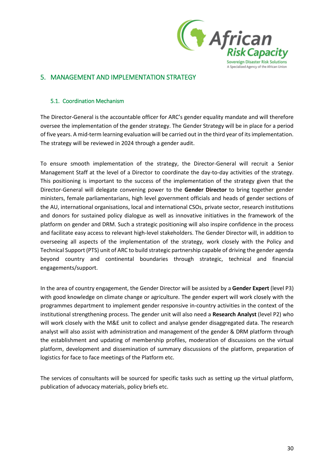

### <span id="page-29-0"></span>5. MANAGEMENT AND IMPLEMENTATION STRATEGY

#### <span id="page-29-1"></span>5.1. Coordination Mechanism

The Director-General is the accountable officer for ARC's gender equality mandate and will therefore oversee the implementation of the gender strategy. The Gender Strategy will be in place for a period of five years. A mid-term learning evaluation will be carried out in the third year of its implementation. The strategy will be reviewed in 2024 through a gender audit.

To ensure smooth implementation of the strategy, the Director-General will recruit a Senior Management Staff at the level of a Director to coordinate the day-to-day activities of the strategy. This positioning is important to the success of the implementation of the strategy given that the Director-General will delegate convening power to the **Gender Director** to bring together gender ministers, female parliamentarians, high level government officials and heads of gender sections of the AU, international organisations, local and international CSOs, private sector, research institutions and donors for sustained policy dialogue as well as innovative initiatives in the framework of the platform on gender and DRM. Such a strategic positioning will also inspire confidence in the process and facilitate easy access to relevant high-level stakeholders. The Gender Director will, in addition to overseeing all aspects of the implementation of the strategy, work closely with the Policy and Technical Support (PTS) unit of ARC to build strategic partnership capable of driving the gender agenda beyond country and continental boundaries through strategic, technical and financial engagements/support.

In the area of country engagement, the Gender Director will be assisted by a **Gender Expert** (level P3) with good knowledge on climate change or agriculture. The gender expert will work closely with the programmes department to implement gender responsive in-country activities in the context of the institutional strengthening process. The gender unit will also need a **Research Analyst** (level P2) who will work closely with the M&E unit to collect and analyse gender disaggregated data. The research analyst will also assist with administration and management of the gender & DRM platform through the establishment and updating of membership profiles, moderation of discussions on the virtual platform, development and dissemination of summary discussions of the platform, preparation of logistics for face to face meetings of the Platform etc.

The services of consultants will be sourced for specific tasks such as setting up the virtual platform, publication of advocacy materials, policy briefs etc.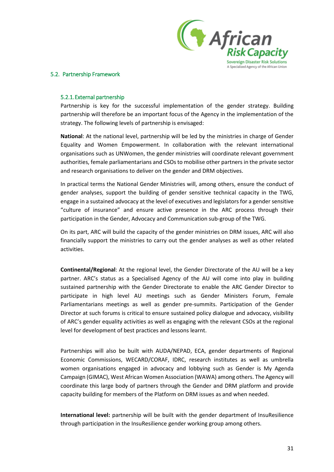

#### <span id="page-30-1"></span><span id="page-30-0"></span>5.2. Partnership Framework

#### 5.2.1.External partnership

Partnership is key for the successful implementation of the gender strategy. Building partnership will therefore be an important focus of the Agency in the implementation of the strategy. The following levels of partnership is envisaged:

**National**: At the national level, partnership will be led by the ministries in charge of Gender Equality and Women Empowerment. In collaboration with the relevant international organisations such as UNWomen, the gender ministries will coordinate relevant government authorities, female parliamentarians and CSOs to mobilise other partners in the private sector and research organisations to deliver on the gender and DRM objectives.

In practical terms the National Gender Ministries will, among others, ensure the conduct of gender analyses, support the building of gender sensitive technical capacity in the TWG, engage in a sustained advocacy at the level of executives and legislators for a gender sensitive "culture of insurance" and ensure active presence in the ARC process through their participation in the Gender, Advocacy and Communication sub-group of the TWG.

On its part, ARC will build the capacity of the gender ministries on DRM issues, ARC will also financially support the ministries to carry out the gender analyses as well as other related activities.

**Continental/Regional**: At the regional level, the Gender Directorate of the AU will be a key partner. ARC's status as a Specialised Agency of the AU will come into play in building sustained partnership with the Gender Directorate to enable the ARC Gender Director to participate in high level AU meetings such as Gender Ministers Forum, Female Parliamentarians meetings as well as gender pre-summits. Participation of the Gender Director at such forums is critical to ensure sustained policy dialogue and advocacy, visibility of ARC's gender equality activities as well as engaging with the relevant CSOs at the regional level for development of best practices and lessons learnt.

Partnerships will also be built with AUDA/NEPAD, ECA, gender departments of Regional Economic Commissions, WECARD/CORAF, IDRC, research institutes as well as umbrella women organisations engaged in advocacy and lobbying such as Gender is My Agenda Campaign (GIMAC), West African Women Association (WAWA) among others. The Agency will coordinate this large body of partners through the Gender and DRM platform and provide capacity building for members of the Platform on DRM issues as and when needed.

**International level:** partnership will be built with the gender department of InsuResilience through participation in the InsuResilience gender working group among others.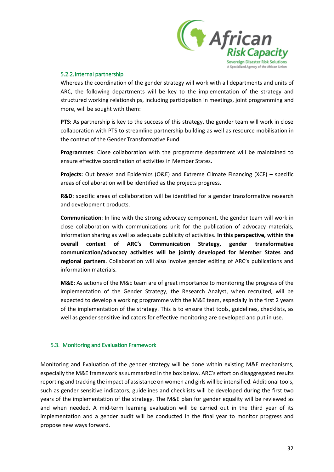

#### <span id="page-31-0"></span>5.2.2.Internal partnership

Whereas the coordination of the gender strategy will work with all departments and units of ARC, the following departments will be key to the implementation of the strategy and structured working relationships, including participation in meetings, joint programming and more, will be sought with them:

**PTS:** As partnership is key to the success of this strategy, the gender team will work in close collaboration with PTS to streamline partnership building as well as resource mobilisation in the context of the Gender Transformative Fund.

**Programmes**: Close collaboration with the programme department will be maintained to ensure effective coordination of activities in Member States.

**Projects:** Out breaks and Epidemics (O&E) and Extreme Climate Financing (XCF) – specific areas of collaboration will be identified as the projects progress.

**R&D**: specific areas of collaboration will be identified for a gender transformative research and development products.

**Communication**: In line with the strong advocacy component, the gender team will work in close collaboration with communications unit for the publication of advocacy materials, information sharing as well as adequate publicity of activities. **In this perspective, within the overall context of ARC's Communication Strategy, gender transformative communication/advocacy activities will be jointly developed for Member States and regional partners**. Collaboration will also involve gender editing of ARC's publications and information materials.

**M&E:** As actions of the M&E team are of great importance to monitoring the progress of the implementation of the Gender Strategy, the Research Analyst, when recruited, will be expected to develop a working programme with the M&E team, especially in the first 2 years of the implementation of the strategy. This is to ensure that tools, guidelines, checklists, as well as gender sensitive indicators for effective monitoring are developed and put in use.

#### <span id="page-31-1"></span>5.3. Monitoring and Evaluation Framework

Monitoring and Evaluation of the gender strategy will be done within existing M&E mechanisms, especially the M&E framework as summarized in the box below. ARC's effort on disaggregated results reporting and tracking the impact of assistance on women and girls will be intensified. Additional tools, such as gender sensitive indicators, guidelines and checklists will be developed during the first two years of the implementation of the strategy. The M&E plan for gender equality will be reviewed as and when needed. A mid-term learning evaluation will be carried out in the third year of its implementation and a gender audit will be conducted in the final year to monitor progress and propose new ways forward.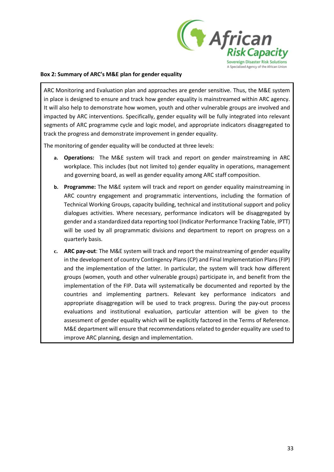

#### **Box 2: Summary of ARC's M&E plan for gender equality**

ARC Monitoring and Evaluation plan and approaches are gender sensitive. Thus, the M&E system in place is designed to ensure and track how gender equality is mainstreamed within ARC agency. It will also help to demonstrate how women, youth and other vulnerable groups are involved and impacted by ARC interventions. Specifically, gender equality will be fully integrated into relevant segments of ARC programme cycle and logic model, and appropriate indicators disaggregated to track the progress and demonstrate improvement in gender equality.

The monitoring of gender equality will be conducted at three levels:

- **a. Operations:** The M&E system will track and report on gender mainstreaming in ARC workplace. This includes (but not limited to) gender equality in operations, management and governing board, as well as gender equality among ARC staff composition.
- **b. Programme:** The M&E system will track and report on gender equality mainstreaming in ARC country engagement and programmatic interventions, including the formation of Technical Working Groups, capacity building, technical and institutional support and policy dialogues activities. Where necessary, performance indicators will be disaggregated by gender and a standardized data reporting tool (Indicator Performance Tracking Table, IPTT) will be used by all programmatic divisions and department to report on progress on a quarterly basis.
- **c. ARC pay-out**: The M&E system will track and report the mainstreaming of gender equality in the development of country Contingency Plans (CP) and Final Implementation Plans (FIP) and the implementation of the latter. In particular, the system will track how different groups (women, youth and other vulnerable groups) participate in, and benefit from the implementation of the FIP. Data will systematically be documented and reported by the countries and implementing partners. Relevant key performance indicators and appropriate disaggregation will be used to track progress. During the pay-out process evaluations and institutional evaluation, particular attention will be given to the assessment of gender equality which will be explicitly factored in the Terms of Reference. M&E department will ensure that recommendations related to gender equality are used to improve ARC planning, design and implementation.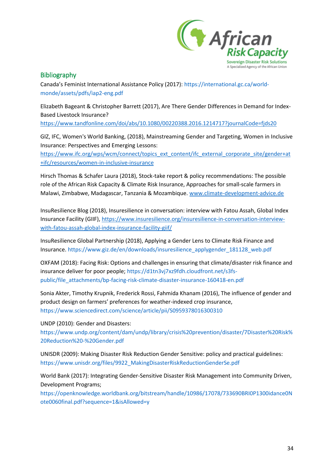

### <span id="page-33-0"></span>**Bibliography**

Canada's Feminist International Assistance Policy (2017): [https://international.gc.ca/world](https://international.gc.ca/world-monde/assets/pdfs/iap2-eng.pdf)[monde/assets/pdfs/iap2-eng.pdf](https://international.gc.ca/world-monde/assets/pdfs/iap2-eng.pdf)

Elizabeth Bageant & Christopher Barrett (2017), Are There Gender Differences in Demand for Index-Based Livestock Insurance?

<https://www.tandfonline.com/doi/abs/10.1080/00220388.2016.1214717?journalCode=fjds20>

GIZ, IFC, Women's World Banking, (2018), Mainstreaming Gender and Targeting, Women in Inclusive Insurance: Perspectives and Emerging Lessons:

[https://www.ifc.org/wps/wcm/connect/topics\\_ext\\_content/ifc\\_external\\_corporate\\_site/gender+at](https://www.ifc.org/wps/wcm/connect/topics_ext_content/ifc_external_corporate_site/gender+at+ifc/resources/women-in-inclusive-insurance) [+ifc/resources/women-in-inclusive-insurance](https://www.ifc.org/wps/wcm/connect/topics_ext_content/ifc_external_corporate_site/gender+at+ifc/resources/women-in-inclusive-insurance)

Hirsch Thomas & Schafer Laura (2018), Stock-take report & policy recommendations: The possible role of the African Risk Capacity & Climate Risk Insurance, Approaches for small-scale farmers in Malawi, Zimbabwe, Madagascar, Tanzania & Mozambique. www.climate-development-advice.de

InsuResilience Blog (2018), Insuresilience in conversation: interview with Fatou Assah, Global Index Insurance Facility (GIIF), [https://www.insuresilience.org/insuresilience-in-conversation-interview](https://www.insuresilience.org/insuresilience-in-conversation-interview-with-fatou-assah-global-index-insurance-facility-giif/)[with-fatou-assah-global-index-insurance-facility-giif/](https://www.insuresilience.org/insuresilience-in-conversation-interview-with-fatou-assah-global-index-insurance-facility-giif/)

InsuResilience Global Partnership (2018), Applying a Gender Lens to Climate Risk Finance and Insurance. [https://www.giz.de/en/downloads/insuresilience\\_applygender\\_181128\\_web.pdf](https://www.giz.de/en/downloads/insuresilience_applygender_181128_web.pdf)

OXFAM (2018): Facing Risk: Options and challenges in ensuring that climate/disaster risk finance and insurance deliver for poor people; [https://d1tn3vj7xz9fdh.cloudfront.net/s3fs](https://d1tn3vj7xz9fdh.cloudfront.net/s3fs-public/file_attachments/bp-facing-risk-climate-disaster-insurance-160418-en.pdf)[public/file\\_attachments/bp-facing-risk-climate-disaster-insurance-160418-en.pdf](https://d1tn3vj7xz9fdh.cloudfront.net/s3fs-public/file_attachments/bp-facing-risk-climate-disaster-insurance-160418-en.pdf)

Sonia Akter, Timothy Krupnik, Frederick Rossi, Fahmida Khanam (2016), The influence of gender and product design on farmers' preferences for weather-indexed crop insurance, <https://www.sciencedirect.com/science/article/pii/S0959378016300310>

UNDP (2010): Gender and Disasters:

https://www.undp.org/content/dam/undp/library/crisis%20prevention/disaster/7Disaster%20Risk% 20Reduction%20-%20Gender.pdf

UNISDR (2009): Making Disaster Risk Reduction Gender Sensitive: policy and practical guidelines: https://www.unisdr.org/files/9922\_MakingDisasterRiskReductionGenderSe.pdf

World Bank (2017): Integrating Gender-Sensitive Disaster Risk Management into Community Driven, Development Programs;

[https://openknowledge.worldbank.org/bitstream/handle/10986/17078/733690BRI0P1300idance0N](https://openknowledge.worldbank.org/bitstream/handle/10986/17078/733690BRI0P1300idance0Note0060final.pdf?sequence=1&isAllowed=y) [ote0060final.pdf?sequence=1&isAllowed=y](https://openknowledge.worldbank.org/bitstream/handle/10986/17078/733690BRI0P1300idance0Note0060final.pdf?sequence=1&isAllowed=y)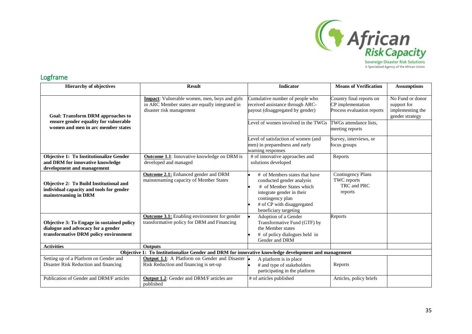

### Logframe

<span id="page-34-0"></span>

| <b>Hierarchy of objectives</b>                                                                                            | <b>Result</b>                                                                                                               | <b>Indicator</b>                                                                                                                                                                               | <b>Means of Verification</b>                                                | <b>Assumptions</b>                                                     |
|---------------------------------------------------------------------------------------------------------------------------|-----------------------------------------------------------------------------------------------------------------------------|------------------------------------------------------------------------------------------------------------------------------------------------------------------------------------------------|-----------------------------------------------------------------------------|------------------------------------------------------------------------|
| <b>Goal: Transform DRM approaches to</b><br>ensure gender equality for vulnerable                                         | Impact: Vulnerable women, men, boys and girls<br>in ARC Member states are equally integrated in<br>disaster risk management | Cumulative number of people who<br>received assistance through ARC-<br>payout (disaggregated by gender)<br>Level of women involved in the TWGs                                                 | Country final reports on<br>CP implementation<br>Process evaluation reports | No Fund or donor<br>support for<br>implementing the<br>gender strategy |
| women and men in arc member states                                                                                        |                                                                                                                             |                                                                                                                                                                                                | TWGs attendance lists,<br>meeting reports                                   |                                                                        |
|                                                                                                                           |                                                                                                                             | Level of satisfaction of women (and<br>men) in preparedness and early<br>warning responses                                                                                                     | Survey, interviews, or<br>focus groups                                      |                                                                        |
| <b>Objective 1: To Institutionalize Gender</b><br>and DRM for innovative knowledge<br>development and management          | <b>Outcome 1.1:</b> Innovative knowledge on DRM is<br>developed and managed                                                 | # of innovative approaches and<br>solutions developed                                                                                                                                          | Reports                                                                     |                                                                        |
| <b>Objective 2: To Build Institutional and</b><br>individual capacity and tools for gender<br>mainstreaming in DRM        | <b>Outcome 2.1:</b> Enhanced gender and DRM<br>mainstreaming capacity of Member States                                      | # of Members states that have<br>conducted gender analysis<br># of Member States which<br>integrate gender in their<br>contingency plan<br># of CP with disaggregated<br>beneficiary targeting | <b>Contingency Plans</b><br><b>TWC</b> reports<br>TRC and PRC<br>reports    |                                                                        |
| Objective 3: To Engage in sustained policy<br>dialogue and advocacy for a gender<br>transformative DRM policy environment | <b>Outcome 3.1:</b> Enabling environment for gender<br>transformative policy for DRM and Financing                          | Adoption of a Gender<br>Transformative Fund (GTF) by<br>the Member states<br># of policy dialogues held in<br>Gender and DRM                                                                   | Reports                                                                     |                                                                        |
| <b>Activities</b>                                                                                                         | <b>Outputs</b>                                                                                                              |                                                                                                                                                                                                |                                                                             |                                                                        |
| Objective 1: To Institutionalize Gender and DRM for innovative knowledge development and management                       |                                                                                                                             |                                                                                                                                                                                                |                                                                             |                                                                        |
| Setting up of a Platform on Gender and<br>Disaster Risk Reduction and financing                                           | <b>Output 1.1:</b> A Platform on Gender and Disaster<br>Risk Reduction and financing is set-up                              | A platform is in place<br># and type of stakeholders<br>participating in the platform                                                                                                          | Reports                                                                     |                                                                        |
| Publication of Gender and DRM/F articles                                                                                  | <b>Output 1.2:</b> Gender and DRM/F articles are<br>published                                                               | # of articles published                                                                                                                                                                        | Articles, policy briefs                                                     |                                                                        |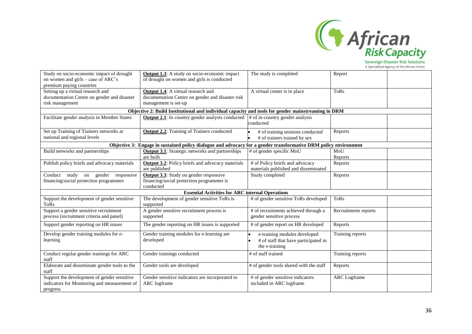

Sovereign Disaster Risk Solutions<br>A Specialized Agency of the African Union

| Study on socio-economic impact of drought<br>on women and girls – case of ARC's<br>premium paying countries | <b>Output 1.3:</b> A study on socio-economic impact<br>of drought on women and girls is conducted                     | The study is completed                                                                 | Report               |
|-------------------------------------------------------------------------------------------------------------|-----------------------------------------------------------------------------------------------------------------------|----------------------------------------------------------------------------------------|----------------------|
| Setting up a virtual research and<br>documentation Centre on gender and disaster<br>risk management         | <b>Output 1.4:</b> A virtual research and<br>documentation Centre on gender and disaster risk<br>management is set-up | A virtual center is in place                                                           | <b>ToRs</b>          |
|                                                                                                             | Objective 2: Build Institutional and individual capacity and tools for gender mainstreaming in DRM                    |                                                                                        |                      |
| Facilitate gender analysis in Member States                                                                 | <b>Output 2.1:</b> In country gender analysis conducted                                                               | # of in-country gender analysis<br>conducted                                           |                      |
| Set up Training of Trainers networks at<br>national and regional levels                                     | <b>Output 2.2:</b> Training of Trainers conducted                                                                     | # of training sessions conducted<br># of trainers trained by sex                       | Reports              |
|                                                                                                             | Objective 3: Engage in sustained policy dialogue and advocacy for a gender transformative DRM policy environment      |                                                                                        |                      |
| Build networks and partnerships                                                                             | <b>Output 3.1:</b> Strategic networks and partnerships<br>are built                                                   | # of gender specific MoU                                                               | MoU<br>Reports       |
| Publish policy briefs and advocacy materials                                                                | <b>Output 3.2:</b> Policy briefs and advocacy materials<br>are published                                              | # of Policy briefs and advocacy<br>materials published and disseminated                | Reports              |
| Conduct study on gender responsive<br>financing/social protection programmes                                | <b>Output 3.3:</b> Study on gender responsive<br>financing/social protection programmes is<br>conducted               | Study completed                                                                        | Reports              |
|                                                                                                             | <b>Essential Activities for ARC internal Operations</b>                                                               |                                                                                        |                      |
| Support the development of gender sensitive<br><b>ToRs</b>                                                  | The development of gender sensitive ToRs is<br>supported                                                              | # of gender sensitive ToRs developed                                                   | <b>ToRs</b>          |
| Support a gender sensitive recruitment<br>process (recruitment criteria and panel)                          | A gender sensitive recruitment process is<br>supported                                                                | # of recruitments achieved through a<br>gender sensitive process                       | Recruitments reports |
| Support gender reporting on HR issues                                                                       | The gender reporting on HR issues is supported                                                                        | # of gender report on HR developed                                                     | Reports              |
| Develop gender training modules for e-<br>learning                                                          | Gender training modules for e-learning are<br>developed                                                               | e-training modules developed<br># of staff that have participated in<br>the e-training | Training reports     |
| Conduct regular gender trainings for ARC<br>$_{\mbox{staff}}$                                               | Gender trainings conducted                                                                                            | # of staff trained                                                                     | Training reports     |
| Elaborate and disseminate gender tools to the<br>staff                                                      | Gender tools are developed                                                                                            | # of gender tools shared with the staff                                                | Reports              |
| Support the development of gender sensitive<br>indicators for Monitoring and measurement of<br>progress     | Gender sensitive indicators are incorporated to<br>ARC logframe                                                       | # of gender sensitive indicators<br>included in ARC logframe                           | <b>ARC</b> Logframe  |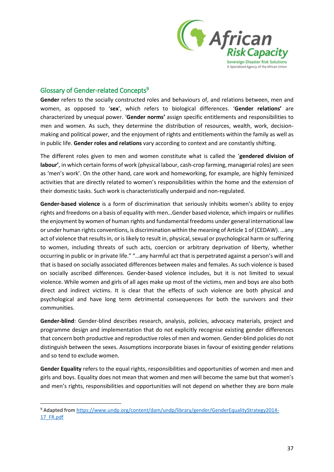

### <span id="page-36-0"></span>Glossary of Gender-related Concepts<sup>9</sup>

**.** 

**Gender** refers to the socially constructed roles and behaviours of, and relations between, men and women, as opposed to '**sex**', which refers to biological differences. '**Gender relations'** are characterized by unequal power. '**Gender norms'** assign specific entitlements and responsibilities to men and women. As such, they determine the distribution of resources, wealth, work, decisionmaking and political power, and the enjoyment of rights and entitlements within the family as well as in public life. **Gender roles and relations** vary according to context and are constantly shifting.

The different roles given to men and women constitute what is called the '**gendered division of labour'**, in which certain forms of work (physical labour, cash-crop farming, managerial roles) are seen as 'men's work'. On the other hand, care work and homeworking, for example, are highly feminized activities that are directly related to women's responsibilities within the home and the extension of their domestic tasks. Such work is characteristically underpaid and non-regulated.

**Gender-based violence** is a form of discrimination that seriously inhibits women's ability to enjoy rights and freedoms on a basis of equality with men…Gender based violence, which impairs or nullifies the enjoyment by women of human rights and fundamental freedoms under general international law or under human rights conventions, is discrimination within the meaning of Article 1 of (CEDAW). …any act of violence that results in, or is likely to result in, physical, sexual or psychological harm or suffering to women, including threats of such acts, coercion or arbitrary deprivation of liberty, whether occurring in public or in private life." "…any harmful act that is perpetrated against a person's will and that is based on socially associated differences between males and females. As such violence is based on socially ascribed differences. Gender-based violence includes, but it is not limited to sexual violence. While women and girls of all ages make up most of the victims, men and boys are also both direct and indirect victims. It is clear that the effects of such violence are both physical and psychological and have long term detrimental consequences for both the survivors and their communities.

**Gender-blind**: Gender-blind describes research, analysis, policies, advocacy materials, project and programme design and implementation that do not explicitly recognise existing gender differences that concern both productive and reproductive roles of men and women. Gender-blind policies do not distinguish between the sexes. Assumptions incorporate biases in favour of existing gender relations and so tend to exclude women.

**Gender Equality** refers to the equal rights, responsibilities and opportunities of women and men and girls and boys. Equality does not mean that women and men will become the same but that women's and men's rights, responsibilities and opportunities will not depend on whether they are born male

<sup>9</sup> Adapted from https://www.undp.org/content/dam/undp/library/gender/GenderEqualityStrategy2014- 17\_FR.pdf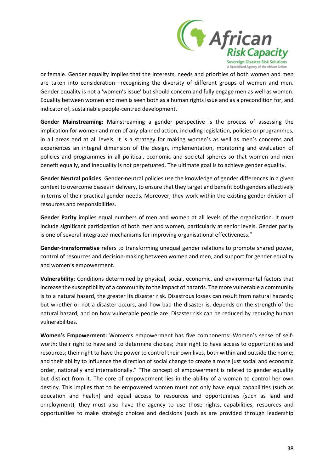

or female. Gender equality implies that the interests, needs and priorities of both women and men are taken into consideration—recognising the diversity of different groups of women and men. Gender equality is not a 'women's issue' but should concern and fully engage men as well as women. Equality between women and men is seen both as a human rights issue and as a precondition for, and indicator of, sustainable people-centred development.

**Gender Mainstreaming:** Mainstreaming a gender perspective is the process of assessing the implication for women and men of any planned action, including legislation, policies or programmes, in all areas and at all levels. It is a strategy for making women's as well as men's concerns and experiences an integral dimension of the design, implementation, monitoring and evaluation of policies and programmes in all political, economic and societal spheres so that women and men benefit equally, and inequality is not perpetuated. The ultimate goal is to achieve gender equality.

**Gender Neutral policies**: Gender-neutral policies use the knowledge of gender differences in a given context to overcome biases in delivery, to ensure that they target and benefit both genders effectively in terms of their practical gender needs. Moreover, they work within the existing gender division of resources and responsibilities.

**Gender Parity** implies equal numbers of men and women at all levels of the organisation. It must include significant participation of both men and women, particularly at senior levels. Gender parity is one of several integrated mechanisms for improving organisational effectiveness."

**Gender-transformative** refers to transforming unequal gender relations to promote shared power, control of resources and decision-making between women and men, and support for gender equality and women's empowerment.

**Vulnerability**: Conditions determined by physical, social, economic, and environmental factors that increase the susceptibility of a community to the impact of hazards. The more vulnerable a community is to a natural hazard, the greater its disaster risk. Disastrous losses can result from natural hazards; but whether or not a disaster occurs, and how bad the disaster is, depends on the strength of the natural hazard, and on how vulnerable people are. Disaster risk can be reduced by reducing human vulnerabilities.

**Women's Empowerment:** Women's empowerment has five components: Women's sense of selfworth; their right to have and to determine choices; their right to have access to opportunities and resources; their right to have the power to control their own lives, both within and outside the home; and their ability to influence the direction of social change to create a more just social and economic order, nationally and internationally." "The concept of empowerment is related to gender equality but distinct from it. The core of empowerment lies in the ability of a woman to control her own destiny. This implies that to be empowered women must not only have equal capabilities (such as education and health) and equal access to resources and opportunities (such as land and employment), they must also have the agency to use those rights, capabilities, resources and opportunities to make strategic choices and decisions (such as are provided through leadership